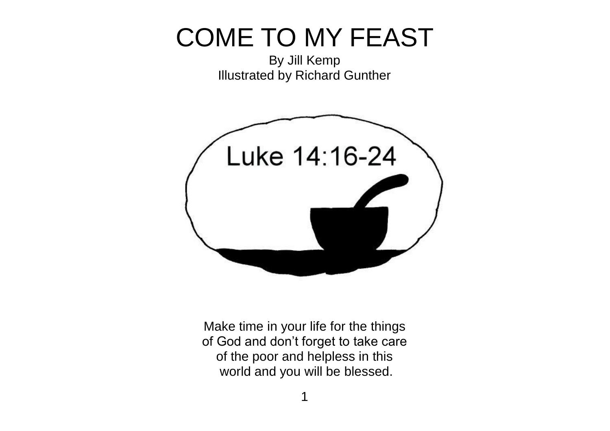## COME TO MY FEAST

By Jill Kemp Illustrated by Richard Gunther



Make time in your life for the things of God and don't forget to take care of the poor and helpless in this world and you will be blessed.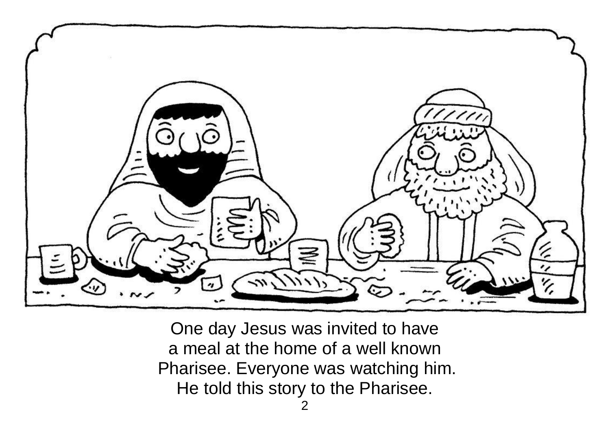

One day Jesus was invited to have a meal at the home of a well known Pharisee. Everyone was watching him. He told this story to the Pharisee.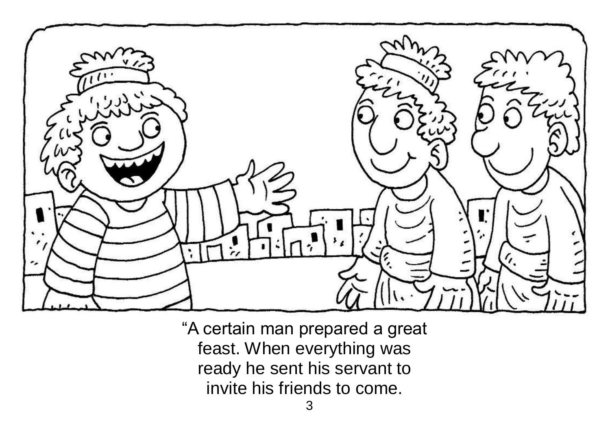

"A certain man prepared a great feast. When everything was ready he sent his servant to invite his friends to come.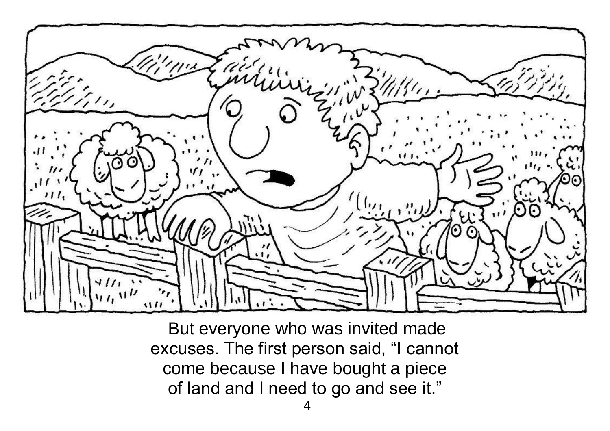

But everyone who was invited made excuses. The first person said, "I cannot come because I have bought a piece of land and I need to go and see it."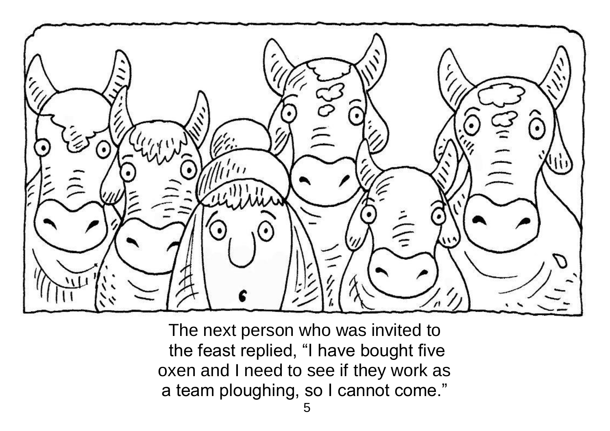

The next person who was invited to the feast replied, "I have bought five oxen and I need to see if they work as a team ploughing, so I cannot come."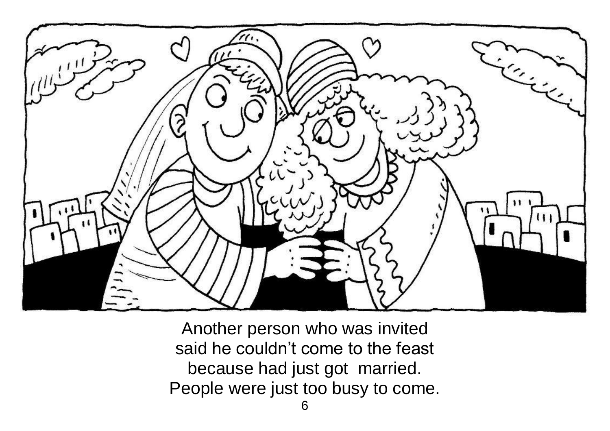

Another person who was invited said he couldn't come to the feast because had just got married. People were just too busy to come.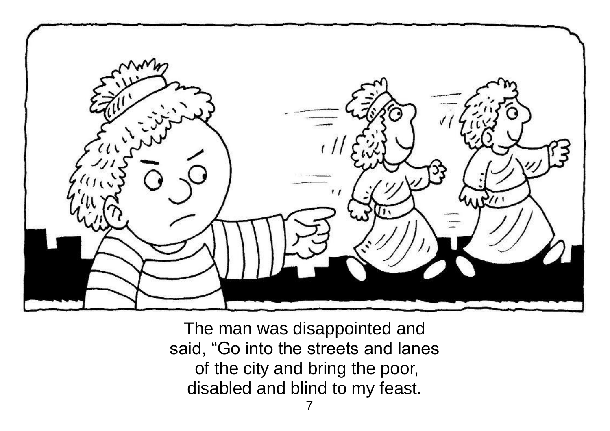

The man was disappointed and said, "Go into the streets and lanes of the city and bring the poor, disabled and blind to my feast.